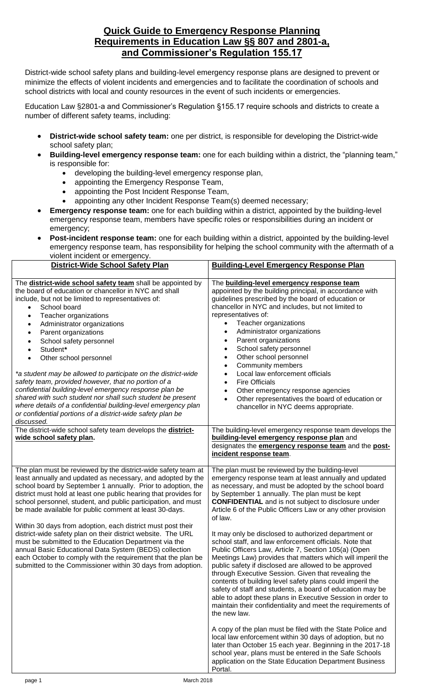## **Quick Guide to Emergency Response Planning Requirements in Education Law §§ 807 and 2801-a, and Commissioner's Regulation 155.17**

District-wide school safety plans and building-level emergency response plans are designed to prevent or minimize the effects of violent incidents and emergencies and to facilitate the coordination of schools and school districts with local and county resources in the event of such incidents or emergencies.

Education Law §2801-a and Commissioner's Regulation §155.17 require schools and districts to create a number of different safety teams, including:

- **District-wide school safety team:** one per district, is responsible for developing the District-wide school safety plan;
- **Building-level emergency response team:** one for each building within a district, the "planning team," is responsible for:
	- developing the building-level emergency response plan,
	- appointing the Emergency Response Team,
	- appointing the Post Incident Response Team,
	- appointing any other Incident Response Team(s) deemed necessary;
- **Emergency response team:** one for each building within a district, appointed by the building-level emergency response team, members have specific roles or responsibilities during an incident or emergency;
- **Post-incident response team:** one for each building within a district, appointed by the building-level emergency response team, has responsibility for helping the school community with the aftermath of a violent incident or emergency.

| <b>District-Wide School Safety Plan</b>                                                                                                                                                                                                                                                                                                                                                                                                                                                                                                                                                                                                                                                                                                                                                    | <b>Building-Level Emergency Response Plan</b>                                                                                                                                                                                                                                                                                                                                                                                                                                                                                                                                                                                                                                                                 |
|--------------------------------------------------------------------------------------------------------------------------------------------------------------------------------------------------------------------------------------------------------------------------------------------------------------------------------------------------------------------------------------------------------------------------------------------------------------------------------------------------------------------------------------------------------------------------------------------------------------------------------------------------------------------------------------------------------------------------------------------------------------------------------------------|---------------------------------------------------------------------------------------------------------------------------------------------------------------------------------------------------------------------------------------------------------------------------------------------------------------------------------------------------------------------------------------------------------------------------------------------------------------------------------------------------------------------------------------------------------------------------------------------------------------------------------------------------------------------------------------------------------------|
| The <b>district-wide school safety team</b> shall be appointed by<br>the board of education or chancellor in NYC and shall<br>include, but not be limited to representatives of:<br>School board<br>Teacher organizations<br>$\bullet$<br>Administrator organizations<br>٠<br>Parent organizations<br>$\bullet$<br>School safety personnel<br>Student*<br>Other school personnel<br>$\bullet$<br>*a student may be allowed to participate on the district-wide<br>safety team, provided however, that no portion of a<br>confidential building-level emergency response plan be<br>shared with such student nor shall such student be present<br>where details of a confidential building-level emergency plan<br>or confidential portions of a district-wide safety plan be<br>discussed. | The building-level emergency response team<br>appointed by the building principal, in accordance with<br>guidelines prescribed by the board of education or<br>chancellor in NYC and includes, but not limited to<br>representatives of:<br>Teacher organizations<br>Administrator organizations<br>$\bullet$<br>Parent organizations<br>$\bullet$<br>School safety personnel<br>$\bullet$<br>Other school personnel<br>$\bullet$<br><b>Community members</b><br>$\bullet$<br>Local law enforcement officials<br>$\bullet$<br><b>Fire Officials</b><br>$\bullet$<br>Other emergency response agencies<br>$\bullet$<br>Other representatives the board of education or<br>chancellor in NYC deems appropriate. |
| The district-wide school safety team develops the district-<br>wide school safety plan.                                                                                                                                                                                                                                                                                                                                                                                                                                                                                                                                                                                                                                                                                                    | The building-level emergency response team develops the<br>building-level emergency response plan and<br>designates the <b>emergency response team</b> and the <b>post-</b><br>incident response team.                                                                                                                                                                                                                                                                                                                                                                                                                                                                                                        |
| The plan must be reviewed by the district-wide safety team at<br>least annually and updated as necessary, and adopted by the<br>school board by September 1 annually. Prior to adoption, the<br>district must hold at least one public hearing that provides for<br>school personnel, student, and public participation, and must<br>be made available for public comment at least 30-days.<br>Within 30 days from adoption, each district must post their                                                                                                                                                                                                                                                                                                                                 | The plan must be reviewed by the building-level<br>emergency response team at least annually and updated<br>as necessary, and must be adopted by the school board<br>by September 1 annually. The plan must be kept<br><b>CONFIDENTIAL</b> and is not subject to disclosure under<br>Article 6 of the Public Officers Law or any other provision<br>of law.                                                                                                                                                                                                                                                                                                                                                   |
| district-wide safety plan on their district website. The URL<br>must be submitted to the Education Department via the<br>annual Basic Educational Data System (BEDS) collection<br>each October to comply with the requirement that the plan be<br>submitted to the Commissioner within 30 days from adoption.                                                                                                                                                                                                                                                                                                                                                                                                                                                                             | It may only be disclosed to authorized department or<br>school staff, and law enforcement officials. Note that<br>Public Officers Law, Article 7, Section 105(a) (Open<br>Meetings Law) provides that matters which will imperil the<br>public safety if disclosed are allowed to be approved<br>through Executive Session. Given that revealing the<br>contents of building level safety plans could imperil the<br>safety of staff and students, a board of education may be<br>able to adopt these plans in Executive Session in order to<br>maintain their confidentiality and meet the requirements of<br>the new law.                                                                                   |
|                                                                                                                                                                                                                                                                                                                                                                                                                                                                                                                                                                                                                                                                                                                                                                                            | A copy of the plan must be filed with the State Police and<br>local law enforcement within 30 days of adoption, but no<br>later than October 15 each year. Beginning in the 2017-18<br>school year, plans must be entered in the Safe Schools<br>application on the State Education Department Business<br>Portal.                                                                                                                                                                                                                                                                                                                                                                                            |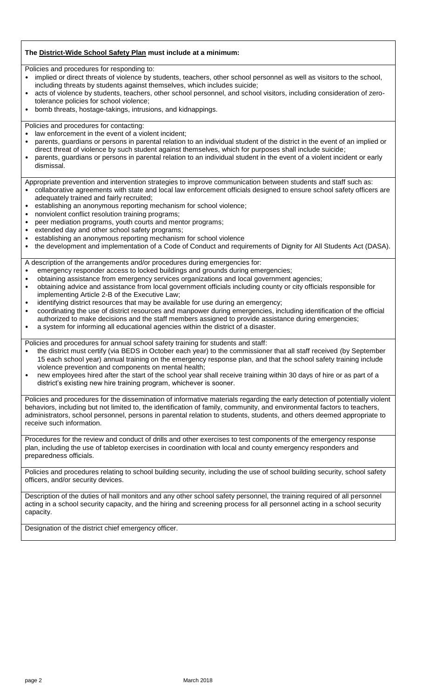## **The District-Wide School Safety Plan must include at a minimum:**

Policies and procedures for responding to:

- implied or direct threats of violence by students, teachers, other school personnel as well as visitors to the school, including threats by students against themselves, which includes suicide;
- acts of violence by students, teachers, other school personnel, and school visitors, including consideration of zerotolerance policies for school violence;
- bomb threats, hostage-takings, intrusions, and kidnappings.

Policies and procedures for contacting:

- law enforcement in the event of a violent incident;
- parents, guardians or persons in parental relation to an individual student of the district in the event of an implied or direct threat of violence by such student against themselves, which for purposes shall include suicide;
- parents, guardians or persons in parental relation to an individual student in the event of a violent incident or early dismissal.

Appropriate prevention and intervention strategies to improve communication between students and staff such as:

- collaborative agreements with state and local law enforcement officials designed to ensure school safety officers are adequately trained and fairly recruited;
- establishing an anonymous reporting mechanism for school violence;
- nonviolent conflict resolution training programs;
- peer mediation programs, youth courts and mentor programs;
- extended day and other school safety programs;
- establishing an anonymous reporting mechanism for school violence
- the development and implementation of a Code of Conduct and requirements of Dignity for All Students Act (DASA).

A description of the arrangements and/or procedures during emergencies for:

- emergency responder access to locked buildings and grounds during emergencies;
- obtaining assistance from emergency services organizations and local government agencies;
- obtaining advice and assistance from local government officials including county or city officials responsible for implementing Article 2-B of the Executive Law;
- identifying district resources that may be available for use during an emergency;
- coordinating the use of district resources and manpower during emergencies, including identification of the official authorized to make decisions and the staff members assigned to provide assistance during emergencies;
- a system for informing all educational agencies within the district of a disaster.

Policies and procedures for annual school safety training for students and staff:

- the district must certify (via BEDS in October each year) to the commissioner that all staff received (by September 15 each school year) annual training on the emergency response plan, and that the school safety training include violence prevention and components on mental health;
- new employees hired after the start of the school year shall receive training within 30 days of hire or as part of a district's existing new hire training program, whichever is sooner.

Policies and procedures for the dissemination of informative materials regarding the early detection of potentially violent behaviors, including but not limited to, the identification of family, community, and environmental factors to teachers, administrators, school personnel, persons in parental relation to students, students, and others deemed appropriate to receive such information.

Procedures for the review and conduct of drills and other exercises to test components of the emergency response plan, including the use of tabletop exercises in coordination with local and county emergency responders and preparedness officials.

Policies and procedures relating to school building security, including the use of school building security, school safety officers, and/or security devices.

Description of the duties of hall monitors and any other school safety personnel, the training required of all personnel acting in a school security capacity, and the hiring and screening process for all personnel acting in a school security capacity.

Designation of the district chief emergency officer.